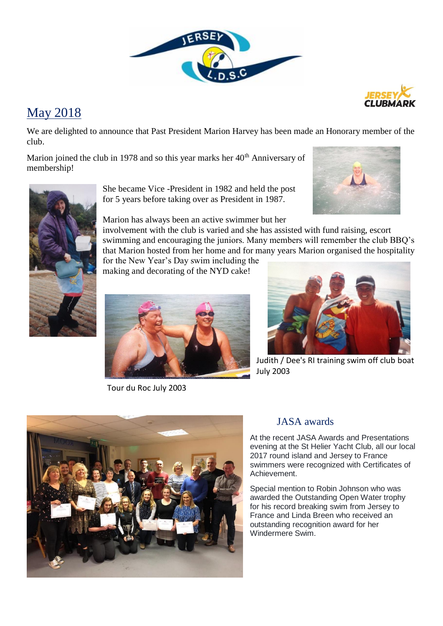

## May 2018

We are delighted to announce that Past President Marion Harvey has been made an Honorary member of the club.

Marion joined the club in 1978 and so this year marks her  $40<sup>th</sup>$  Anniversary of membership!



She became Vice -President in 1982 and held the post for 5 years before taking over as President in 1987.

Marion has always been an active swimmer but her

involvement with the club is varied and she has assisted with fund raising, escort swimming and encouraging the juniors. Many members will remember the club BBQ's that Marion hosted from her home and for many years Marion organised the hospitality

for the New Year's Day swim including the making and decorating of the NYD cake!



Tour du Roc July 2003



Judith / Dee's RI training swim off club boat July 2003



### JASA awards

At the recent JASA Awards and Presentations evening at the St Helier Yacht Club, all our local 2017 round island and Jersey to France swimmers were recognized with Certificates of Achievement.

Special mention to Robin Johnson who was awarded the Outstanding Open Water trophy for his record breaking swim from Jersey to France and Linda Breen who received an outstanding recognition award for her Windermere Swim.

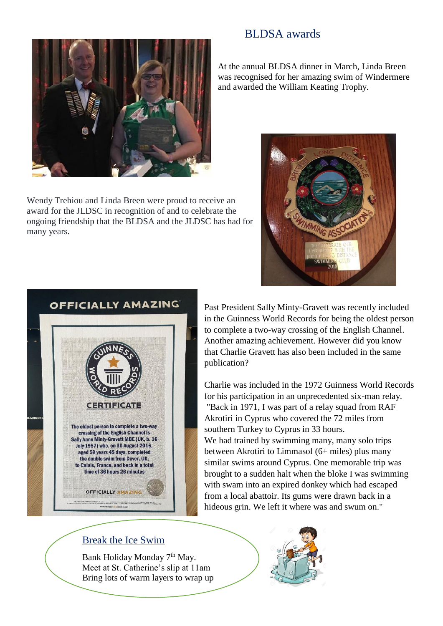## BLDSA awards



Wendy Trehiou and Linda Breen were proud to receive an award for the JLDSC in recognition of and to celebrate the ongoing friendship that the BLDSA and the JLDSC has had for many years.

At the annual BLDSA dinner in March, Linda Breen was recognised for her amazing swim of Windermere and awarded the William Keating Trophy.





Past President Sally Minty-Gravett was recently included in the Guinness World Records for being the oldest person to complete a two-way crossing of the English Channel. Another amazing achievement. However did you know that Charlie Gravett has also been included in the same publication?

Charlie was included in the 1972 Guinness World Records for his participation in an unprecedented six-man relay. "Back in 1971, I was part of a relay squad from RAF Akrotiri in Cyprus who covered the 72 miles from southern Turkey to Cyprus in 33 hours. We had trained by swimming many, many solo trips between Akrotiri to Limmasol (6+ miles) plus many similar swims around Cyprus. One memorable trip was brought to a sudden halt when the bloke I was swimming with swam into an expired donkey which had escaped from a local abattoir. Its gums were drawn back in a hideous grin. We left it where was and swum on."

### Break the Ice Swim

in afterwards.

Bank Holiday Monday 7<sup>th</sup> May. Meet at St. Catherine's slip at 11am Bring lots of warm layers to wrap up

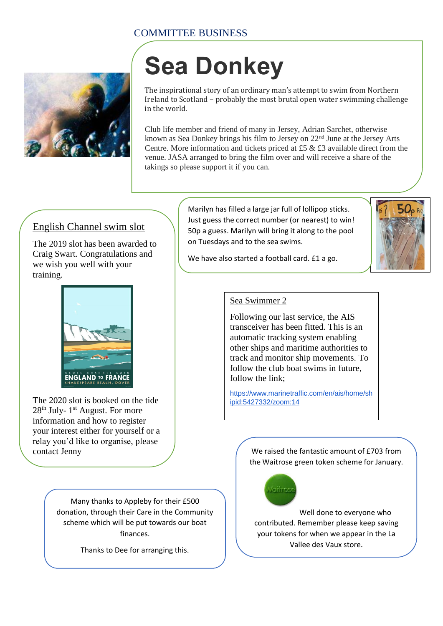## COMMITTEE BUSINESS



# **Sea Donkey**

The inspirational story of an ordinary man's attempt to swim from Northern Ireland to Scotland – probably the most brutal open water swimming challenge in the world.

Club life member and friend of many in Jersey, Adrian Sarchet, otherwise known as Sea Donkey brings his film to Jersey on 22nd June at the Jersey Arts Centre. More information and tickets priced at £5 & £3 available direct from the venue. JASA arranged to bring the film over and will receive a share of the takings so please support it if you can.

## English Channel swim slot

The 2019 slot has been awarded to Craig Swart. Congratulations and we wish you well with your training.



The 2020 slot is booked on the tide 28<sup>th</sup> July- 1<sup>st</sup> August. For more information and how to register your interest either for yourself or a relay you'd like to organise, please

> Many thanks to Appleby for their £500 donation, through their Care in the Community scheme which will be put towards our boat finances.

> > Thanks to Dee for arranging this.

Marilyn has filled a large jar full of lollipop sticks. Just guess the correct number (or nearest) to win! 50p a guess. Marilyn will bring it along to the pool on Tuesdays and to the sea swims.



We have also started a football card. £1 a go.

### Sea Swimmer 2

Following our last service, the AIS transceiver has been fitted. This is an automatic tracking system enabling other ships and maritime authorities to track and monitor ship movements. To follow the club boat swims in future, follow the link;

[https://www.marinetraffic.com/en/ais/home/sh](https://www.marinetraffic.com/en/ais/home/shipid:5427332/zoom:14) [ipid:5427332/zoom:14](https://www.marinetraffic.com/en/ais/home/shipid:5427332/zoom:14)

contact Jenny  $\sqrt{2 \cdot \sqrt{2}}$  We raised the fantastic amount of £703 from the Waitrose green token scheme for January.



Well done to everyone who contributed. Remember please keep saving your tokens for when we appear in the La Vallee des Vaux store.